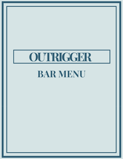# **OUTRIGGER**

## **BAR MENU**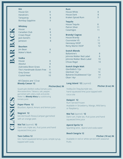#### **Gin** House Gin 8 Hendrick's 9 Tanqueray 8 Bombay Sapphire 9 **Whiskey** House 8 and 8 and 8 and 8 and 8 and 8 and 8 and 8 and 8 and 8 and 8 and 8 and 8 and 8 and 8 and 8 and 8 and 8 and 8 and 8 and 8 and 8 and 8 and 8 and 8 and 8 and 8 and 8 and 8 and 8 and 8 and 8 and 8 and 8 and 8 and 8 and Canadian Club 8 Crown Royal 9 Jack Daniel's 9 Jameson 8 **Bourbon** Jim Bean 8 Maker's Mark 9 **Vodka** House 8 and 8 **Rum** House White 8 and 8 and 8 and 8 and 8 and 8 and 8 and 8 and 8 and 8 and 8 and 8 and 8 and 8 and 8 and 8 and 8 and 8 and 8 and 8 and 8 and 8 and 8 and 8 and 8 and 8 and 8 and 8 and 8 and 8 and 8 and 8 and 8 and 8 and 8 and House Dark 8 Kraken Spiced Rum 9 **Tequila** House Tequila 8 Patron Silver 11 Casamigos 11 **Brandy/ Cognac** House Brandy **8** 8 Courvoisier VS 11 Hennessy VSOP 12 Remy Martin VSOP 12 **Scotch Blends** Ballantine's 8 Johnnie Walker Red Label 8 Johnnie Walker Black Label 10 **a** ard Jan

| .                           |          |
|-----------------------------|----------|
| Absolut                     | 8        |
| Zubrowka Bison Grass        | 8        |
| Tito's Handmade Gluten Free | q        |
| <b>Grey Goose</b>           | 10       |
| <b>Crystal Head</b>         | $10^{-}$ |

### **Bloody Caesar 12** All Classics are 1.5 oz

#### **Pitcher(6oz) 36**

Quadruple distilled vodka,Clamato juice, Worcestershire, Tabasco, salt, pepper, garnished with celery stalk and pickle. Make it a **Bloody Mary** by substituting tomato juice.

**Paper Plane 12** Bourbon, Aperol, Amaro and lemon juice

**Negroni 12** Gin,Vermouth Rosso,Campari garnished with an orange peel.

**Mai Tai** (layered) **12** Dark rum, triple sec, fruit juices and hand squeezed lime juice

## **Tom Collins 12** Gin, hand squeezed lemon juice, simple syrup, topped with soda

## Chivas Regal 10 **Scotch Single Malt** Glenfiddich 12yr 12 Glenlivet 12yr 14 Balvenie Doublewood 12yr 14 Oban 14yr 17

## **Long Island 12** (Layered)

**Pitcher (6 oz) 36**

Vodka,Gin,Tequila,triple sec, hand squeezed lime juice topped with coca cola

## **Daiquiri 12**

Rum Served Frozen Available in Strawberry, Mango, Wild berry or Raspberry.

## **Mai Tai** (layered) **12**

Dark rum, triple sec, fruit juices and hand squeezed lime juice

## **Aperol Spritz 12**

Sparkling wine , Aperol and soda water

## **Beach Sangria 12**

## **Pitcher (10 oz) 36**

Available in red or white served with seasonal fruits.

**b**

**r**

**b**

**c**

**k**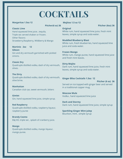## **COCKTAILS**

## **Margaritas 1.5oz 12**

**Pitcher(6 oz) 36**

**Classic Lime** Hand squeezed lime juice , tequila, Triple sec served shaken or frozen. Other flavors: Strawberry,Raspberry, Wildberry & Mango

**Martinis 2oz 12 Gibson** Gin and dry vermouth garnished with pickled onions.

**Classic Dry** Quadruple distilled vodka, dash of dry vermouth, olives.

**The Dirty**

Quadruple distilled vodka, dash of dry vermouth, olive brine.

**Manhattan** Canadian club rye, sweet vermouth, bitters

**Gimlet** Gin, hand squeezed lime juice, simple syrup.

**Red Raspberry** Quadruple distilled vodka, raspberry liqueur, raspberry puree

**Brandy Cosmo** E&J XO, triple sec , splash of cranberry juice.

**Mango** Quadruple distilled vodka, mango liqueur, mango puree.

## **Mojitos 1.5 oz 12**

**Original**

### **Pitcher (6oz) 36**

White rum, hand squeezed lime juice, fresh mint leaves, simple syrup and soda water.

## **Muddled Blueberry Blast**

and fresh mint leaves.

White rum, fresh blueberries, hand squeezed lime juice and soda water.

**Frozen Mango** White rum, mango puree, hand squeezed lime juice

**Dirty Mojito** Dark rum, hand squeezed lime juice, fresh mint leaves, simple syrup and soda water.

## **Ginger Bliss Cocktails 1.5oz 12**

**Pitcher (6 oz) 36** Served on ice topped with ginger beer and served in a traditional copper mug.

**Moscow Mule** Vodka , hand squeezed lime juice

**Dark and Stormy** Dark rum, hand squeezed lime juice, simple syrup

## **Sparkling Ginger Mint Julep**

Bourbon, mint , simple syrup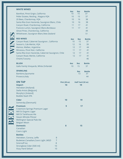|             | <b>WHITE WINES</b>                                                                                                                                                              |                |                           |                 |                         |                           |
|-------------|---------------------------------------------------------------------------------------------------------------------------------------------------------------------------------|----------------|---------------------------|-----------------|-------------------------|---------------------------|
|             | Barefoot, Pinot Grigio, California                                                                                                                                              |                |                           | 6oz<br>10       | 90Z<br>15               | <b>Bottle</b><br>37       |
|             | Peller Estates, Reisling, Niagara VQA                                                                                                                                           |                |                           | 10 <sup>°</sup> | 15                      | 37                        |
| NNE         | 20 Bees, Chardonnay, VQA                                                                                                                                                        |                |                           | 10              | 16                      | 38                        |
|             | Santa Rita Gran Hacienda, Sauvignon Blanc, Chile                                                                                                                                |                |                           | 10              | 16                      | 38                        |
|             | Canyon Road, Chardonnay, California                                                                                                                                             |                |                           | 11              | 17                      | 41                        |
|             | Francois Lurton, Sauvignon Blanc, Bordeaux                                                                                                                                      |                |                           | 11              | 17                      | 41                        |
|             | Ghost Pines, Chardonnay, California                                                                                                                                             |                |                           |                 |                         | 49                        |
|             | Whitehaven, Sauvignon Blanc, New Zealand                                                                                                                                        |                |                           |                 |                         | 51                        |
|             | <b>RED WINES</b><br>Canyon Road, Cabernet Sauvignon, California                                                                                                                 |                |                           | 6oz<br>10       | 90Z<br>15               | <b>Bottle</b><br>37       |
|             | Season's, Cab-Merlot, VQA                                                                                                                                                       |                |                           | 12              | 16                      | 39                        |
|             | Alamos, Malbec, Argentina                                                                                                                                                       |                |                           | 12              | 17                      | 44                        |
|             | Mirassou, Pinot Noir, California                                                                                                                                                |                |                           | 11              | 17                      | 41                        |
|             | Santa Rita Gran Hacienda, Cabernet Sauvignon, Chile                                                                                                                             |                |                           | 12              | 17                      | 41                        |
|             | Canyon Road, Merlot, California                                                                                                                                                 |                |                           | 12              | 17                      | 41                        |
|             | Chianti, Tuscany                                                                                                                                                                |                |                           |                 |                         | 46                        |
|             | <b>BLUSH</b>                                                                                                                                                                    |                |                           | 6oz             | 9oz                     | <b>Bottle</b>             |
|             | Gallo Family Vineyards, White Zinfandel                                                                                                                                         |                |                           | 10              | 15                      | 37                        |
|             | <b>SPARKLING</b><br>Bambino, Spumante<br>Prosecco, Italy                                                                                                                        |                |                           |                 | 9oz<br>13               | <b>Bottle</b><br>37<br>44 |
|             |                                                                                                                                                                                 |                |                           |                 |                         |                           |
|             | <b>ON TAP</b><br><b>Import</b><br>Heineken [Holland]<br>Stella Artois [Belgium]                                                                                                 |                | <b>Pint (20 oz)</b><br>10 |                 | Half Yard (32 oz)<br>19 |                           |
|             | Murphy's [Ireland]<br><b>Bubble Stash IPA</b>                                                                                                                                   |                |                           |                 |                         |                           |
|             | <b>Cider</b><br>Somersby [Denmark]                                                                                                                                              |                | 10                        |                 | 19                      |                           |
| <b>3336</b> | <b>Premium</b><br><b>Creemore Springs Premium Lager</b><br>Mill St Organic Lager<br>Mill St Tankhouse Ale<br><b>Steam Whistle Pilsner</b><br><b>Wellington Special Pale Ale</b> |                | 9                         |                 | 17                      |                           |
|             | <b>Belgian Moon</b><br><b>Domestic</b><br>Canadian<br><b>Coors Light</b>                                                                                                        |                | 8                         |                 | 15                      |                           |
|             | <b>Bottles</b>                                                                                                                                                                  |                |                           |                 |                         |                           |
|             | Heineken, Corona, Leffe                                                                                                                                                         | 8              |                           |                 |                         |                           |
|             | Budwiser, Canadian, Coors Light, MGD                                                                                                                                            | $\overline{7}$ |                           |                 |                         |                           |
|             | Smirnoff Ice<br>Strongbow Cider [500 ml]                                                                                                                                        | 8<br>10        |                           |                 |                         |                           |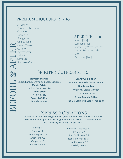## premium liqueurs 1oz 10

Amaretto Bailey's Irish Cream Chambord Drambuie Frangelico Goldschlager Grand Marnier Galiano Jagermeister Kahlua Sambuca Southern Comfort  $\blacktriangle$ 

 $\mathbf{\underline{\underline{\mathsf{M}}}}$ 

E

F

O

 $\mathbf{\Omega}$ 

E

<u>්ල</u>

F

 $\blacksquare$ 

E

 $\mathbf{\Omega}$ 

## APERITIF 10

Aperol [1oz] Campari [1oz] Martini Dry Vermouth [2oz] Martini Red Vermouth  $[2oz]$ Dubonnet [2oz]

## SPIRITED COFFEES 10z 12

**Espresso Martini** Vodka, Kahlua, Creme de Cacao, Espresso **Monte Cristo** Kahlua, Grand Marnier **Irish Coffee** Irish Whiskey **Spanish Coffee** Brandy, Kahlua

## **Brandy Alexander** Brandy, Creme de Cacao, Cream **Blueberry Tea** Amaretto, Grand Marnier, Orange Pekoe tea **Crispy Crunch Coffee** Kahlua, Creme de Cacao, Frangelico

## Espresso Creations

*We source our Fair Trade Organic beans from Mountain View Estates of Toronto's Beaches Community. Our beans are ground fresh to ensure a nice subtle aroma, well rounded flavour and smooth finish.*

## Coffee 4

Espresso 4 Double Espresso 5 Americano 4.5 Cappucino 5 Caffè Latte 5.5

Caramel Macchiato 5.5 Caffè Mocha 5.5 Iced Caffè Latte 5.5 Iced Caffè Mocha 5.5 Hot Chocolate 5.5 Specialty Tea 3.5